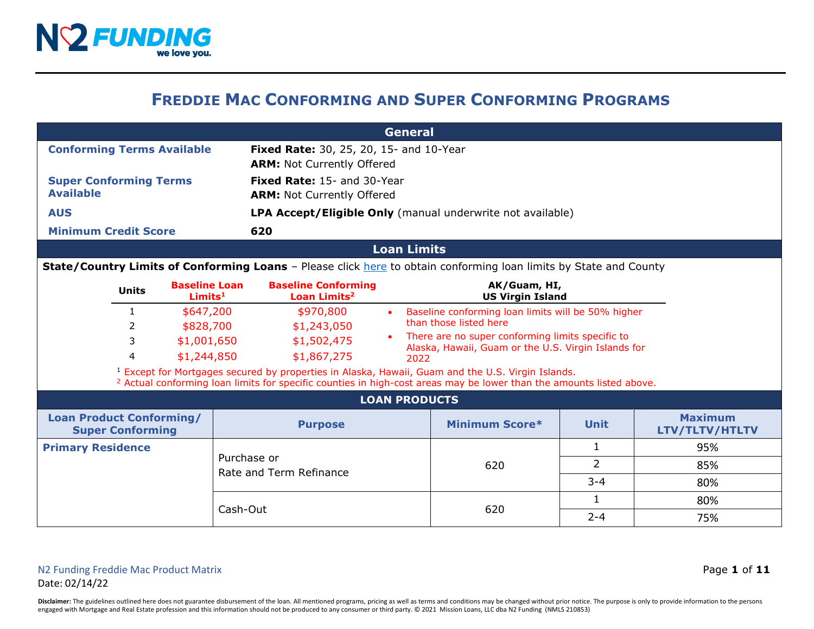

## **FREDDIE MAC CONFORMING AND SUPER CONFORMING PROGRAMS**

|                                                            | <b>General</b>                                              |                                        |                                                                                                                   |                                                                                                                                                                                                                                                 |                                                                              |                                  |     |  |  |
|------------------------------------------------------------|-------------------------------------------------------------|----------------------------------------|-------------------------------------------------------------------------------------------------------------------|-------------------------------------------------------------------------------------------------------------------------------------------------------------------------------------------------------------------------------------------------|------------------------------------------------------------------------------|----------------------------------|-----|--|--|
| <b>Conforming Terms Available</b>                          |                                                             |                                        | <b>Fixed Rate:</b> 30, 25, 20, 15- and 10-Year<br><b>ARM: Not Currently Offered</b>                               |                                                                                                                                                                                                                                                 |                                                                              |                                  |     |  |  |
| <b>Super Conforming Terms</b><br><b>Available</b>          |                                                             |                                        |                                                                                                                   | <b>Fixed Rate: 15- and 30-Year</b><br><b>ARM: Not Currently Offered</b>                                                                                                                                                                         |                                                                              |                                  |     |  |  |
| <b>AUS</b>                                                 |                                                             |                                        |                                                                                                                   | LPA Accept/Eligible Only (manual underwrite not available)                                                                                                                                                                                      |                                                                              |                                  |     |  |  |
| <b>Minimum Credit Score</b>                                |                                                             |                                        | 620                                                                                                               |                                                                                                                                                                                                                                                 |                                                                              |                                  |     |  |  |
|                                                            |                                                             |                                        |                                                                                                                   | <b>Loan Limits</b>                                                                                                                                                                                                                              |                                                                              |                                  |     |  |  |
|                                                            |                                                             |                                        | State/Country Limits of Conforming Loans - Please click here to obtain conforming loan limits by State and County |                                                                                                                                                                                                                                                 |                                                                              |                                  |     |  |  |
|                                                            | <b>Baseline Loan</b><br><b>Units</b><br>Limits <sup>1</sup> |                                        | <b>Baseline Conforming</b><br>Loan Limits <sup>2</sup>                                                            |                                                                                                                                                                                                                                                 | AK/Guam, HI,<br><b>US Virgin Island</b>                                      |                                  |     |  |  |
|                                                            | $\mathbf{1}$<br>\$647,200<br>\$828,700<br>2                 |                                        | \$970,800<br>\$1,243,050                                                                                          | $\bullet$                                                                                                                                                                                                                                       | Baseline conforming loan limits will be 50% higher<br>than those listed here |                                  |     |  |  |
| 3<br>\$1,001,650<br>\$1,244,850<br>4                       |                                                             | \$1,502,475<br>\$1,867,275             | There are no super conforming limits specific to<br>Alaska, Hawaii, Guam or the U.S. Virgin Islands for<br>2022   |                                                                                                                                                                                                                                                 |                                                                              |                                  |     |  |  |
|                                                            |                                                             |                                        |                                                                                                                   | <sup>1</sup> Except for Mortgages secured by properties in Alaska, Hawaii, Guam and the U.S. Virgin Islands.<br><sup>2</sup> Actual conforming loan limits for specific counties in high-cost areas may be lower than the amounts listed above. |                                                                              |                                  |     |  |  |
|                                                            |                                                             |                                        |                                                                                                                   |                                                                                                                                                                                                                                                 | <b>LOAN PRODUCTS</b>                                                         |                                  |     |  |  |
| <b>Loan Product Conforming/</b><br><b>Super Conforming</b> |                                                             | <b>Purpose</b>                         |                                                                                                                   | <b>Minimum Score*</b>                                                                                                                                                                                                                           | <b>Unit</b>                                                                  | <b>Maximum</b><br>LTV/TLTV/HTLTV |     |  |  |
| <b>Primary Residence</b>                                   |                                                             |                                        |                                                                                                                   |                                                                                                                                                                                                                                                 |                                                                              | 1                                | 95% |  |  |
|                                                            |                                                             | Purchase or<br>Rate and Term Refinance |                                                                                                                   | 620                                                                                                                                                                                                                                             | $\overline{2}$                                                               | 85%                              |     |  |  |
|                                                            |                                                             |                                        |                                                                                                                   |                                                                                                                                                                                                                                                 | $3 - 4$                                                                      | 80%                              |     |  |  |
|                                                            |                                                             |                                        | Cash-Out                                                                                                          |                                                                                                                                                                                                                                                 |                                                                              | $\mathbf{1}$                     | 80% |  |  |
|                                                            |                                                             |                                        |                                                                                                                   | 620                                                                                                                                                                                                                                             | $2 - 4$                                                                      | 75%                              |     |  |  |

Disclaimer: The guidelines outlined here does not guarantee disbursement of the loan. All mentioned programs, pricing as well as terms and conditions may be changed without prior notice. The purpose is only to provide info engaged with Mortgage and Real Estate profession and this information should not be produced to any consumer or third party. © 2021 Mission Loans, LLC dba N2 Funding (NMLS 210853)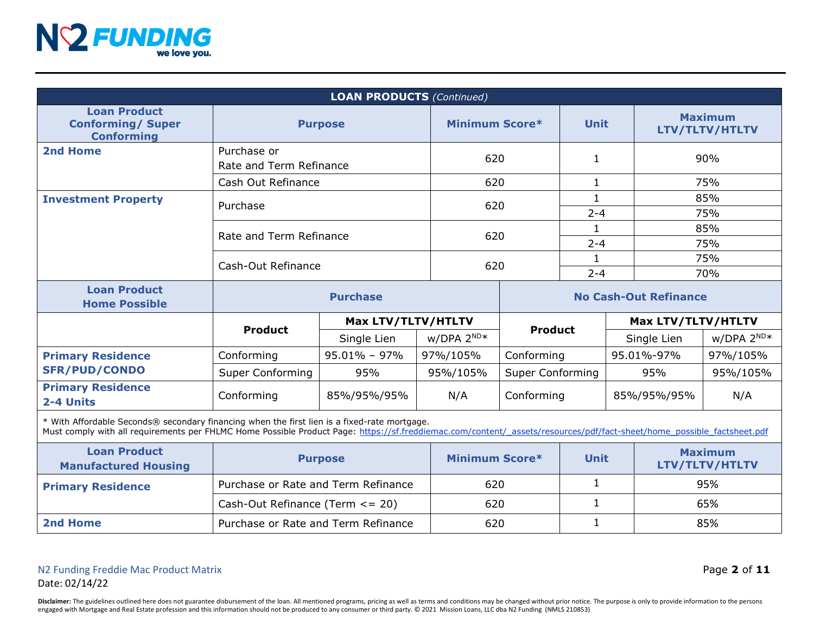

| <b>LOAN PRODUCTS (Continued)</b>                                                                                                                                                                                                                                       |                                        |                  |                              |                         |              |             |                                  |                                  |
|------------------------------------------------------------------------------------------------------------------------------------------------------------------------------------------------------------------------------------------------------------------------|----------------------------------------|------------------|------------------------------|-------------------------|--------------|-------------|----------------------------------|----------------------------------|
| <b>Loan Product</b><br><b>Conforming/ Super</b><br><b>Conforming</b>                                                                                                                                                                                                   | <b>Purpose</b>                         |                  |                              | Minimum Score*          |              | <b>Unit</b> | <b>Maximum</b><br>LTV/TLTV/HTLTV |                                  |
| 2nd Home                                                                                                                                                                                                                                                               | Purchase or<br>Rate and Term Refinance |                  |                              | 620                     |              |             | 90%                              |                                  |
|                                                                                                                                                                                                                                                                        | Cash Out Refinance                     |                  |                              | 620                     |              |             | 75%                              |                                  |
| <b>Investment Property</b>                                                                                                                                                                                                                                             | Purchase                               |                  |                              | 620                     |              | $2 - 4$     | 85%<br>75%                       |                                  |
|                                                                                                                                                                                                                                                                        | Rate and Term Refinance                |                  | 620                          |                         | 1            |             | 85%                              |                                  |
|                                                                                                                                                                                                                                                                        |                                        |                  |                              |                         | $2 - 4$      |             | 75%                              |                                  |
|                                                                                                                                                                                                                                                                        | Cash-Out Refinance                     |                  | 620                          |                         | 1.           |             | 75%                              |                                  |
|                                                                                                                                                                                                                                                                        |                                        |                  |                              |                         |              | $2 - 4$     | 70%                              |                                  |
| <b>Loan Product</b><br><b>Home Possible</b>                                                                                                                                                                                                                            |                                        |                  | <b>No Cash-Out Refinance</b> |                         |              |             |                                  |                                  |
|                                                                                                                                                                                                                                                                        | Max LTV/TLTV/HTLTV                     |                  |                              |                         |              |             | Max LTV/TLTV/HTLTV               |                                  |
|                                                                                                                                                                                                                                                                        | <b>Product</b>                         | Single Lien      | $W/DPA 2^{ND*}$              | <b>Product</b>          |              |             | Single Lien                      | $W/DPA 2^{ND*}$                  |
| <b>Primary Residence</b>                                                                                                                                                                                                                                               | Conforming                             | $95.01\% - 97\%$ | 97%/105%                     | Conforming              |              | 95.01%-97%  | 97%/105%                         |                                  |
| <b>SFR/PUD/CONDO</b>                                                                                                                                                                                                                                                   | <b>Super Conforming</b>                | 95%              | 95%/105%                     | <b>Super Conforming</b> |              | 95%         | 95%/105%                         |                                  |
| <b>Primary Residence</b><br>2-4 Units                                                                                                                                                                                                                                  | Conforming<br>85%/95%/95%              |                  | N/A                          | Conforming              |              | 85%/95%/95% | N/A                              |                                  |
| * With Affordable Seconds® secondary financing when the first lien is a fixed-rate mortgage.<br>Must comply with all requirements per FHLMC Home Possible Product Page: https://sf.freddiemac.com/content/_assets/resources/pdf/fact-sheet/home_possible_factsheet.pdf |                                        |                  |                              |                         |              |             |                                  |                                  |
| <b>Loan Product</b><br><b>Manufactured Housing</b>                                                                                                                                                                                                                     | <b>Purpose</b>                         |                  | <b>Minimum Score*</b>        |                         | Unit         |             |                                  | <b>Maximum</b><br>LTV/TLTV/HTLTV |
| <b>Primary Residence</b>                                                                                                                                                                                                                                               | Purchase or Rate and Term Refinance    |                  |                              | 620                     |              |             |                                  | 95%                              |
|                                                                                                                                                                                                                                                                        | Cash-Out Refinance (Term $\leq$ 20)    |                  |                              | 620                     |              | 1           |                                  | 65%                              |
| 2nd Home                                                                                                                                                                                                                                                               | Purchase or Rate and Term Refinance    |                  | 620                          |                         | $\mathbf{1}$ |             | 85%                              |                                  |

Disclaimer: The guidelines outlined here does not guarantee disbursement of the loan. All mentioned programs, pricing as well as terms and conditions may be changed without prior notice. The purpose is only to provide info engaged with Mortgage and Real Estate profession and this information should not be produced to any consumer or third party. © 2021 Mission Loans, LLC dba N2 Funding (NMLS 210853)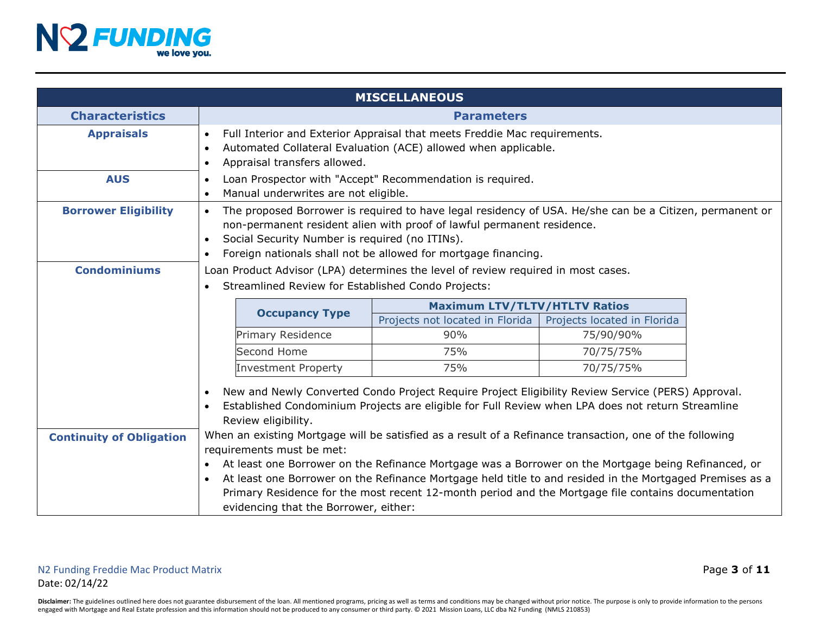

|                                                                                                                                                                                                                                                                                                                                                                                                                                                                                                                                                                                                                                                                                                                                                                                          |                                                                                                                                                                                                                                                                                                                    | <b>MISCELLANEOUS</b>                                                                                   |           |  |
|------------------------------------------------------------------------------------------------------------------------------------------------------------------------------------------------------------------------------------------------------------------------------------------------------------------------------------------------------------------------------------------------------------------------------------------------------------------------------------------------------------------------------------------------------------------------------------------------------------------------------------------------------------------------------------------------------------------------------------------------------------------------------------------|--------------------------------------------------------------------------------------------------------------------------------------------------------------------------------------------------------------------------------------------------------------------------------------------------------------------|--------------------------------------------------------------------------------------------------------|-----------|--|
| <b>Characteristics</b>                                                                                                                                                                                                                                                                                                                                                                                                                                                                                                                                                                                                                                                                                                                                                                   | <b>Parameters</b>                                                                                                                                                                                                                                                                                                  |                                                                                                        |           |  |
| <b>Appraisals</b>                                                                                                                                                                                                                                                                                                                                                                                                                                                                                                                                                                                                                                                                                                                                                                        | Full Interior and Exterior Appraisal that meets Freddie Mac requirements.<br>$\bullet$<br>Automated Collateral Evaluation (ACE) allowed when applicable.<br>Appraisal transfers allowed.<br>$\bullet$                                                                                                              |                                                                                                        |           |  |
| <b>AUS</b>                                                                                                                                                                                                                                                                                                                                                                                                                                                                                                                                                                                                                                                                                                                                                                               | Loan Prospector with "Accept" Recommendation is required.<br>$\bullet$<br>Manual underwrites are not eligible.<br>$\bullet$                                                                                                                                                                                        |                                                                                                        |           |  |
| <b>Borrower Eligibility</b>                                                                                                                                                                                                                                                                                                                                                                                                                                                                                                                                                                                                                                                                                                                                                              | The proposed Borrower is required to have legal residency of USA. He/she can be a Citizen, permanent or<br>$\bullet$<br>non-permanent resident alien with proof of lawful permanent residence.<br>Social Security Number is required (no ITINs).<br>Foreign nationals shall not be allowed for mortgage financing. |                                                                                                        |           |  |
| <b>Condominiums</b>                                                                                                                                                                                                                                                                                                                                                                                                                                                                                                                                                                                                                                                                                                                                                                      | Loan Product Advisor (LPA) determines the level of review required in most cases.<br>Streamlined Review for Established Condo Projects:                                                                                                                                                                            |                                                                                                        |           |  |
|                                                                                                                                                                                                                                                                                                                                                                                                                                                                                                                                                                                                                                                                                                                                                                                          | <b>Occupancy Type</b>                                                                                                                                                                                                                                                                                              | <b>Maximum LTV/TLTV/HTLTV Ratios</b><br>Projects not located in Florida<br>Projects located in Florida |           |  |
|                                                                                                                                                                                                                                                                                                                                                                                                                                                                                                                                                                                                                                                                                                                                                                                          | Primary Residence                                                                                                                                                                                                                                                                                                  | 90%                                                                                                    | 75/90/90% |  |
|                                                                                                                                                                                                                                                                                                                                                                                                                                                                                                                                                                                                                                                                                                                                                                                          | Second Home                                                                                                                                                                                                                                                                                                        | 75%                                                                                                    | 70/75/75% |  |
|                                                                                                                                                                                                                                                                                                                                                                                                                                                                                                                                                                                                                                                                                                                                                                                          | <b>Investment Property</b>                                                                                                                                                                                                                                                                                         | 75%                                                                                                    | 70/75/75% |  |
| New and Newly Converted Condo Project Require Project Eligibility Review Service (PERS) Approval.<br>Established Condominium Projects are eligible for Full Review when LPA does not return Streamline<br>Review eligibility.<br>When an existing Mortgage will be satisfied as a result of a Refinance transaction, one of the following<br><b>Continuity of Obligation</b><br>requirements must be met:<br>At least one Borrower on the Refinance Mortgage was a Borrower on the Mortgage being Refinanced, or<br>At least one Borrower on the Refinance Mortgage held title to and resided in the Mortgaged Premises as a<br>$\bullet$<br>Primary Residence for the most recent 12-month period and the Mortgage file contains documentation<br>evidencing that the Borrower, either: |                                                                                                                                                                                                                                                                                                                    |                                                                                                        |           |  |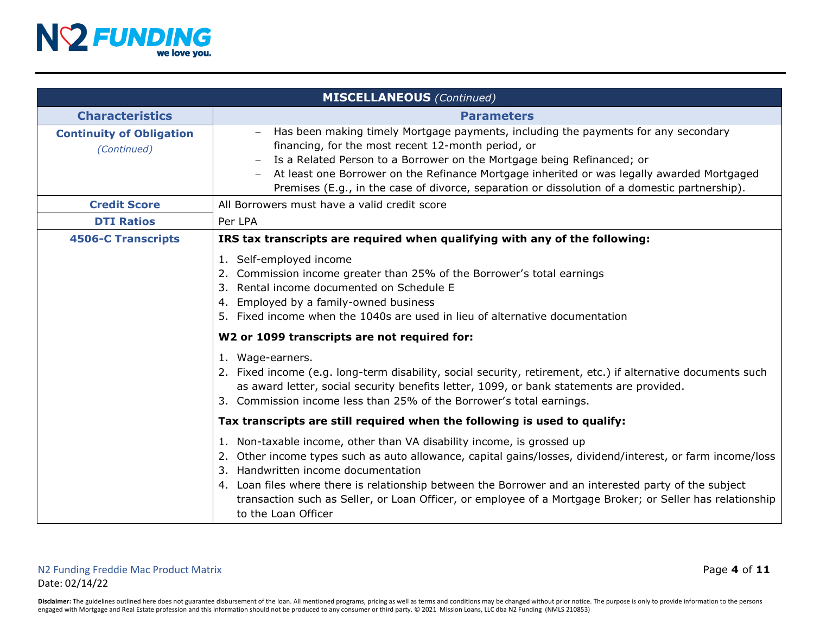

|                                                | <b>MISCELLANEOUS</b> (Continued)                                                                                                                                                                                                                                                                                                                                                                                                                                        |
|------------------------------------------------|-------------------------------------------------------------------------------------------------------------------------------------------------------------------------------------------------------------------------------------------------------------------------------------------------------------------------------------------------------------------------------------------------------------------------------------------------------------------------|
| <b>Characteristics</b>                         | <b>Parameters</b>                                                                                                                                                                                                                                                                                                                                                                                                                                                       |
| <b>Continuity of Obligation</b><br>(Continued) | Has been making timely Mortgage payments, including the payments for any secondary<br>financing, for the most recent 12-month period, or<br>Is a Related Person to a Borrower on the Mortgage being Refinanced; or<br>At least one Borrower on the Refinance Mortgage inherited or was legally awarded Mortgaged<br>Premises (E.g., in the case of divorce, separation or dissolution of a domestic partnership).                                                       |
| <b>Credit Score</b>                            | All Borrowers must have a valid credit score                                                                                                                                                                                                                                                                                                                                                                                                                            |
| <b>DTI Ratios</b>                              | Per LPA                                                                                                                                                                                                                                                                                                                                                                                                                                                                 |
| <b>4506-C Transcripts</b>                      | IRS tax transcripts are required when qualifying with any of the following:                                                                                                                                                                                                                                                                                                                                                                                             |
|                                                | 1. Self-employed income<br>2. Commission income greater than 25% of the Borrower's total earnings<br>3. Rental income documented on Schedule E<br>4. Employed by a family-owned business<br>5. Fixed income when the 1040s are used in lieu of alternative documentation                                                                                                                                                                                                |
|                                                | W2 or 1099 transcripts are not required for:                                                                                                                                                                                                                                                                                                                                                                                                                            |
|                                                | 1. Wage-earners.<br>2. Fixed income (e.g. long-term disability, social security, retirement, etc.) if alternative documents such<br>as award letter, social security benefits letter, 1099, or bank statements are provided.<br>3. Commission income less than 25% of the Borrower's total earnings.                                                                                                                                                                    |
|                                                | Tax transcripts are still required when the following is used to qualify:                                                                                                                                                                                                                                                                                                                                                                                               |
|                                                | 1. Non-taxable income, other than VA disability income, is grossed up<br>2. Other income types such as auto allowance, capital gains/losses, dividend/interest, or farm income/loss<br>3. Handwritten income documentation<br>4. Loan files where there is relationship between the Borrower and an interested party of the subject<br>transaction such as Seller, or Loan Officer, or employee of a Mortgage Broker; or Seller has relationship<br>to the Loan Officer |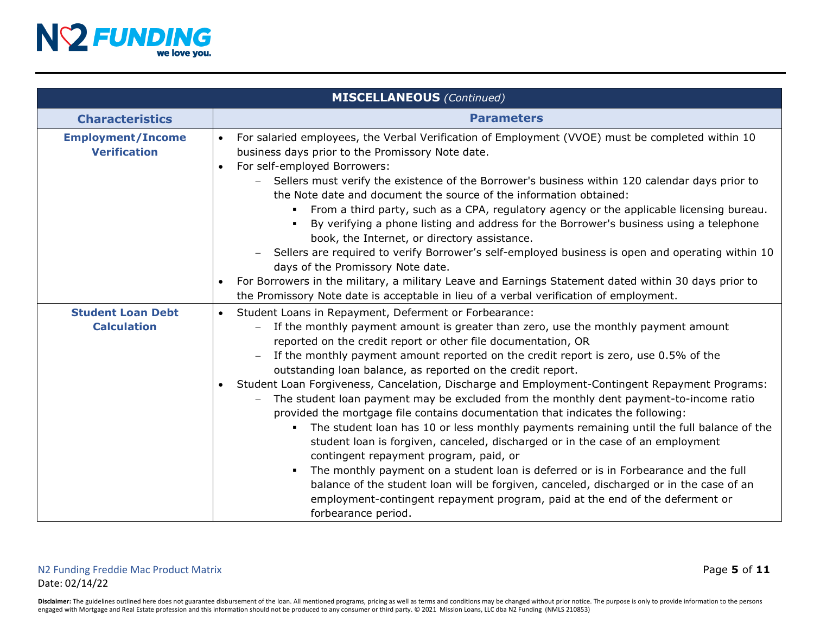

|                                                 | <b>MISCELLANEOUS</b> (Continued)                                                                                                                                                                                                                                                                                                                                                                                                                                                                                                                                                                                                                                                                                                                                                                                                                                                                                                                                                                                                                                                                                                                                                                   |
|-------------------------------------------------|----------------------------------------------------------------------------------------------------------------------------------------------------------------------------------------------------------------------------------------------------------------------------------------------------------------------------------------------------------------------------------------------------------------------------------------------------------------------------------------------------------------------------------------------------------------------------------------------------------------------------------------------------------------------------------------------------------------------------------------------------------------------------------------------------------------------------------------------------------------------------------------------------------------------------------------------------------------------------------------------------------------------------------------------------------------------------------------------------------------------------------------------------------------------------------------------------|
| <b>Characteristics</b>                          | <b>Parameters</b>                                                                                                                                                                                                                                                                                                                                                                                                                                                                                                                                                                                                                                                                                                                                                                                                                                                                                                                                                                                                                                                                                                                                                                                  |
| <b>Employment/Income</b><br><b>Verification</b> | For salaried employees, the Verbal Verification of Employment (VVOE) must be completed within 10<br>$\bullet$<br>business days prior to the Promissory Note date.<br>For self-employed Borrowers:<br>$\bullet$<br>Sellers must verify the existence of the Borrower's business within 120 calendar days prior to<br>the Note date and document the source of the information obtained:<br>From a third party, such as a CPA, regulatory agency or the applicable licensing bureau.<br>By verifying a phone listing and address for the Borrower's business using a telephone<br>book, the Internet, or directory assistance.<br>Sellers are required to verify Borrower's self-employed business is open and operating within 10<br>days of the Promissory Note date.<br>For Borrowers in the military, a military Leave and Earnings Statement dated within 30 days prior to<br>the Promissory Note date is acceptable in lieu of a verbal verification of employment.                                                                                                                                                                                                                            |
| <b>Student Loan Debt</b><br><b>Calculation</b>  | Student Loans in Repayment, Deferment or Forbearance:<br>$\bullet$<br>If the monthly payment amount is greater than zero, use the monthly payment amount<br>reported on the credit report or other file documentation, OR<br>If the monthly payment amount reported on the credit report is zero, use 0.5% of the<br>outstanding loan balance, as reported on the credit report.<br>Student Loan Forgiveness, Cancelation, Discharge and Employment-Contingent Repayment Programs:<br>$\bullet$<br>The student loan payment may be excluded from the monthly dent payment-to-income ratio<br>provided the mortgage file contains documentation that indicates the following:<br>The student loan has 10 or less monthly payments remaining until the full balance of the<br>student loan is forgiven, canceled, discharged or in the case of an employment<br>contingent repayment program, paid, or<br>The monthly payment on a student loan is deferred or is in Forbearance and the full<br>٠<br>balance of the student loan will be forgiven, canceled, discharged or in the case of an<br>employment-contingent repayment program, paid at the end of the deferment or<br>forbearance period. |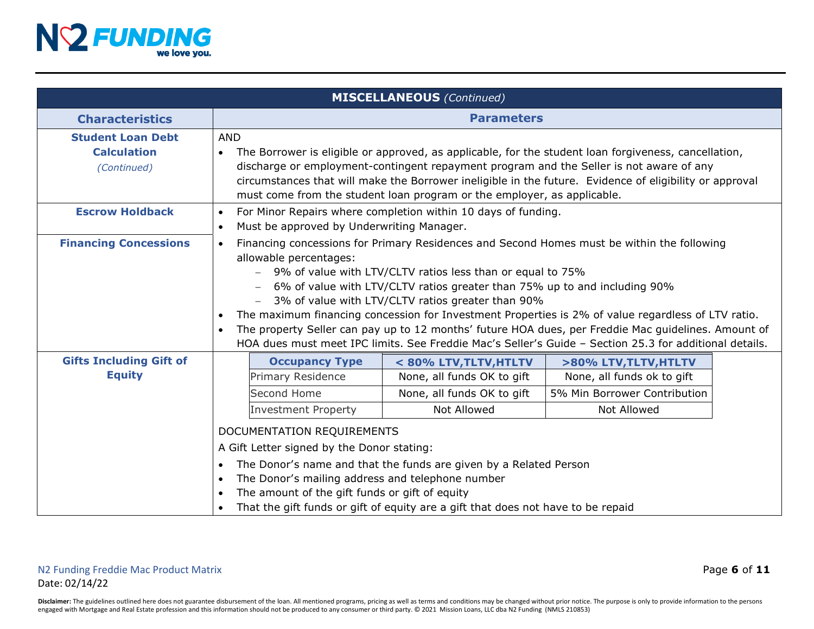

| <b>MISCELLANEOUS</b> (Continued)                              |                                                                                                                                                                                                                                                                                                                                                                                                                                                                                                                                                                                                                                                                                      |                                           |                              |  |  |
|---------------------------------------------------------------|--------------------------------------------------------------------------------------------------------------------------------------------------------------------------------------------------------------------------------------------------------------------------------------------------------------------------------------------------------------------------------------------------------------------------------------------------------------------------------------------------------------------------------------------------------------------------------------------------------------------------------------------------------------------------------------|-------------------------------------------|------------------------------|--|--|
| <b>Characteristics</b>                                        | <b>Parameters</b>                                                                                                                                                                                                                                                                                                                                                                                                                                                                                                                                                                                                                                                                    |                                           |                              |  |  |
| <b>Student Loan Debt</b><br><b>Calculation</b><br>(Continued) | <b>AND</b><br>The Borrower is eligible or approved, as applicable, for the student loan forgiveness, cancellation,<br>$\bullet$<br>discharge or employment-contingent repayment program and the Seller is not aware of any<br>circumstances that will make the Borrower ineligible in the future. Evidence of eligibility or approval<br>must come from the student loan program or the employer, as applicable.                                                                                                                                                                                                                                                                     |                                           |                              |  |  |
| <b>Escrow Holdback</b>                                        | For Minor Repairs where completion within 10 days of funding.<br>$\bullet$<br>Must be approved by Underwriting Manager.<br>$\bullet$                                                                                                                                                                                                                                                                                                                                                                                                                                                                                                                                                 |                                           |                              |  |  |
| <b>Financing Concessions</b>                                  | Financing concessions for Primary Residences and Second Homes must be within the following<br>$\bullet$<br>allowable percentages:<br>9% of value with LTV/CLTV ratios less than or equal to 75%<br>6% of value with LTV/CLTV ratios greater than 75% up to and including 90%<br>- 3% of value with LTV/CLTV ratios greater than 90%<br>The maximum financing concession for Investment Properties is 2% of value regardless of LTV ratio.<br>$\bullet$<br>The property Seller can pay up to 12 months' future HOA dues, per Freddie Mac guidelines. Amount of<br>$\bullet$<br>HOA dues must meet IPC limits. See Freddie Mac's Seller's Guide - Section 25.3 for additional details. |                                           |                              |  |  |
| <b>Gifts Including Gift of</b>                                | <b>Occupancy Type</b>                                                                                                                                                                                                                                                                                                                                                                                                                                                                                                                                                                                                                                                                | < 80% LTV, TLTV, HTLTV                    | >80% LTV, TLTV, HTLTV        |  |  |
| <b>Equity</b>                                                 | Primary Residence                                                                                                                                                                                                                                                                                                                                                                                                                                                                                                                                                                                                                                                                    | None, all funds OK to gift                | None, all funds ok to gift   |  |  |
|                                                               | Second Home                                                                                                                                                                                                                                                                                                                                                                                                                                                                                                                                                                                                                                                                          | None, all funds OK to gift<br>Not Allowed | 5% Min Borrower Contribution |  |  |
|                                                               | <b>Investment Property</b>                                                                                                                                                                                                                                                                                                                                                                                                                                                                                                                                                                                                                                                           | Not Allowed                               |                              |  |  |
|                                                               | DOCUMENTATION REQUIREMENTS<br>A Gift Letter signed by the Donor stating:<br>The Donor's name and that the funds are given by a Related Person<br>$\bullet$<br>The Donor's mailing address and telephone number<br>$\bullet$                                                                                                                                                                                                                                                                                                                                                                                                                                                          |                                           |                              |  |  |
|                                                               | The amount of the gift funds or gift of equity<br>$\bullet$<br>That the gift funds or gift of equity are a gift that does not have to be repaid<br>$\bullet$                                                                                                                                                                                                                                                                                                                                                                                                                                                                                                                         |                                           |                              |  |  |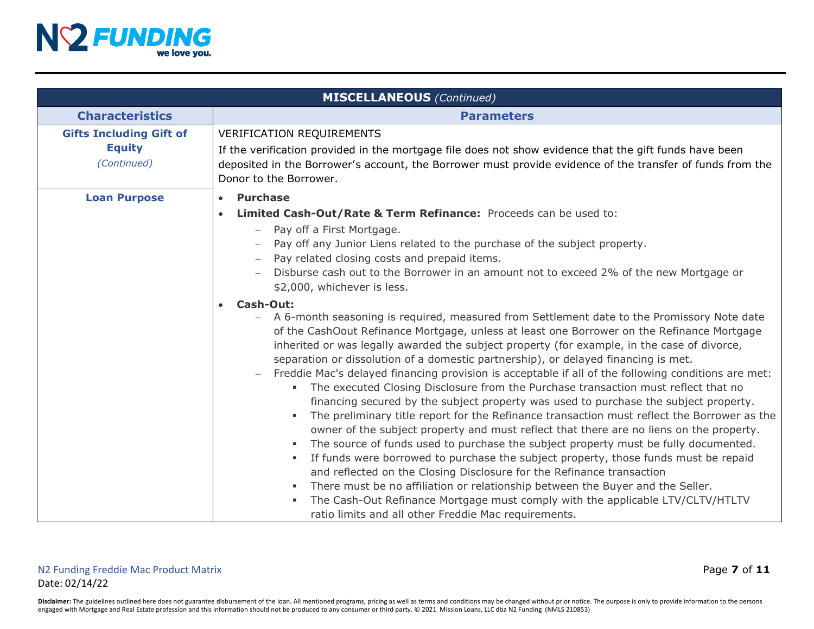

|                                                                | <b>MISCELLANEOUS</b> (Continued)                                                                                                                                                                                                                                                                                                                                                                                                                                                                                                                                                                                                                                                                                                                                                                                                                                                                                                                                                                                                                                                                                                                                                                                                                                                                                                                                                                                                                                                                                                                                                                                                                                                                                                                                     |  |  |
|----------------------------------------------------------------|----------------------------------------------------------------------------------------------------------------------------------------------------------------------------------------------------------------------------------------------------------------------------------------------------------------------------------------------------------------------------------------------------------------------------------------------------------------------------------------------------------------------------------------------------------------------------------------------------------------------------------------------------------------------------------------------------------------------------------------------------------------------------------------------------------------------------------------------------------------------------------------------------------------------------------------------------------------------------------------------------------------------------------------------------------------------------------------------------------------------------------------------------------------------------------------------------------------------------------------------------------------------------------------------------------------------------------------------------------------------------------------------------------------------------------------------------------------------------------------------------------------------------------------------------------------------------------------------------------------------------------------------------------------------------------------------------------------------------------------------------------------------|--|--|
| <b>Characteristics</b>                                         | <b>Parameters</b>                                                                                                                                                                                                                                                                                                                                                                                                                                                                                                                                                                                                                                                                                                                                                                                                                                                                                                                                                                                                                                                                                                                                                                                                                                                                                                                                                                                                                                                                                                                                                                                                                                                                                                                                                    |  |  |
| <b>Gifts Including Gift of</b><br><b>Equity</b><br>(Continued) | <b>VERIFICATION REQUIREMENTS</b><br>If the verification provided in the mortgage file does not show evidence that the gift funds have been<br>deposited in the Borrower's account, the Borrower must provide evidence of the transfer of funds from the<br>Donor to the Borrower.                                                                                                                                                                                                                                                                                                                                                                                                                                                                                                                                                                                                                                                                                                                                                                                                                                                                                                                                                                                                                                                                                                                                                                                                                                                                                                                                                                                                                                                                                    |  |  |
| <b>Loan Purpose</b>                                            | <b>Purchase</b><br>$\bullet$<br>Limited Cash-Out/Rate & Term Refinance: Proceeds can be used to:<br>Pay off a First Mortgage.<br>Pay off any Junior Liens related to the purchase of the subject property.<br>Pay related closing costs and prepaid items.<br>Disburse cash out to the Borrower in an amount not to exceed 2% of the new Mortgage or<br>\$2,000, whichever is less.<br><b>Cash-Out:</b><br>A 6-month seasoning is required, measured from Settlement date to the Promissory Note date<br>of the CashOout Refinance Mortgage, unless at least one Borrower on the Refinance Mortgage<br>inherited or was legally awarded the subject property (for example, in the case of divorce,<br>separation or dissolution of a domestic partnership), or delayed financing is met.<br>Freddie Mac's delayed financing provision is acceptable if all of the following conditions are met:<br>The executed Closing Disclosure from the Purchase transaction must reflect that no<br>financing secured by the subject property was used to purchase the subject property.<br>The preliminary title report for the Refinance transaction must reflect the Borrower as the<br>owner of the subject property and must reflect that there are no liens on the property.<br>The source of funds used to purchase the subject property must be fully documented.<br>٠<br>If funds were borrowed to purchase the subject property, those funds must be repaid<br>٠<br>and reflected on the Closing Disclosure for the Refinance transaction<br>There must be no affiliation or relationship between the Buyer and the Seller.<br>The Cash-Out Refinance Mortgage must comply with the applicable LTV/CLTV/HTLTV<br>ratio limits and all other Freddie Mac requirements. |  |  |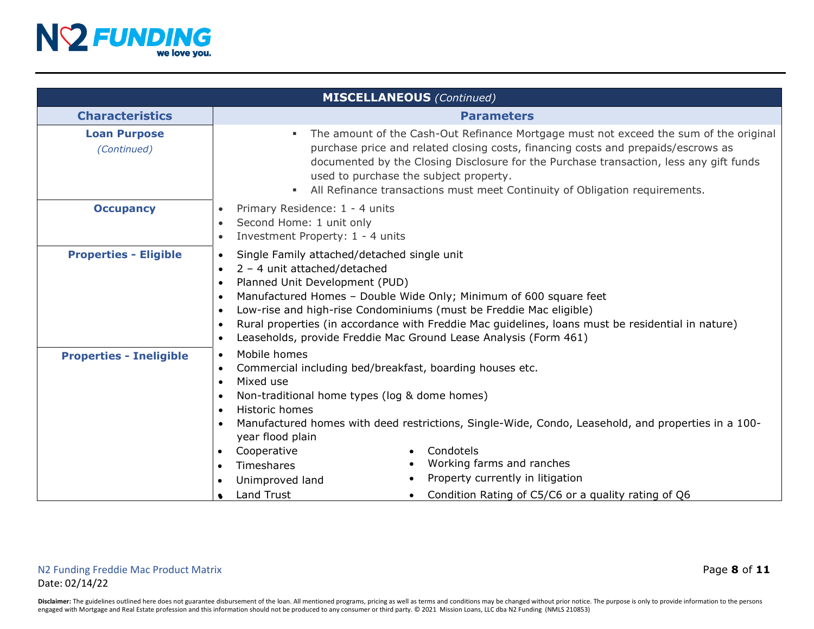

|                                                                                                                                       | <b>MISCELLANEOUS</b> (Continued)                                                                                                                                                                                                                                                                                                                                                                                                                                                                                               |  |  |  |
|---------------------------------------------------------------------------------------------------------------------------------------|--------------------------------------------------------------------------------------------------------------------------------------------------------------------------------------------------------------------------------------------------------------------------------------------------------------------------------------------------------------------------------------------------------------------------------------------------------------------------------------------------------------------------------|--|--|--|
| <b>Characteristics</b>                                                                                                                | <b>Parameters</b>                                                                                                                                                                                                                                                                                                                                                                                                                                                                                                              |  |  |  |
| <b>Loan Purpose</b><br>(Continued)                                                                                                    | The amount of the Cash-Out Refinance Mortgage must not exceed the sum of the original<br>purchase price and related closing costs, financing costs and prepaids/escrows as<br>documented by the Closing Disclosure for the Purchase transaction, less any gift funds<br>used to purchase the subject property.<br>All Refinance transactions must meet Continuity of Obligation requirements.                                                                                                                                  |  |  |  |
| <b>Occupancy</b>                                                                                                                      | Primary Residence: 1 - 4 units<br>$\bullet$<br>Second Home: 1 unit only<br>$\bullet$<br>Investment Property: 1 - 4 units<br>$\bullet$                                                                                                                                                                                                                                                                                                                                                                                          |  |  |  |
| <b>Properties - Eligible</b>                                                                                                          | Single Family attached/detached single unit<br>$\bullet$<br>$2 - 4$ unit attached/detached<br>$\bullet$<br>Planned Unit Development (PUD)<br>$\bullet$<br>Manufactured Homes - Double Wide Only; Minimum of 600 square feet<br>$\bullet$<br>Low-rise and high-rise Condominiums (must be Freddie Mac eligible)<br>$\bullet$<br>Rural properties (in accordance with Freddie Mac guidelines, loans must be residential in nature)<br>$\bullet$<br>Leaseholds, provide Freddie Mac Ground Lease Analysis (Form 461)<br>$\bullet$ |  |  |  |
| <b>Properties - Ineligible</b>                                                                                                        | Mobile homes<br>$\bullet$<br>Commercial including bed/breakfast, boarding houses etc.<br>$\bullet$<br>Mixed use<br>$\bullet$<br>Non-traditional home types (log & dome homes)<br>$\bullet$<br>Historic homes<br>$\bullet$<br>Manufactured homes with deed restrictions, Single-Wide, Condo, Leasehold, and properties in a 100-<br>$\bullet$<br>year flood plain<br>Condotels<br>Cooperative<br>$\bullet$<br>$\bullet$<br>Working farms and ranches<br>Timeshares<br>$\bullet$<br>$\bullet$                                    |  |  |  |
| Property currently in litigation<br>Unimproved land<br>Land Trust<br>Condition Rating of C5/C6 or a quality rating of Q6<br>$\bullet$ |                                                                                                                                                                                                                                                                                                                                                                                                                                                                                                                                |  |  |  |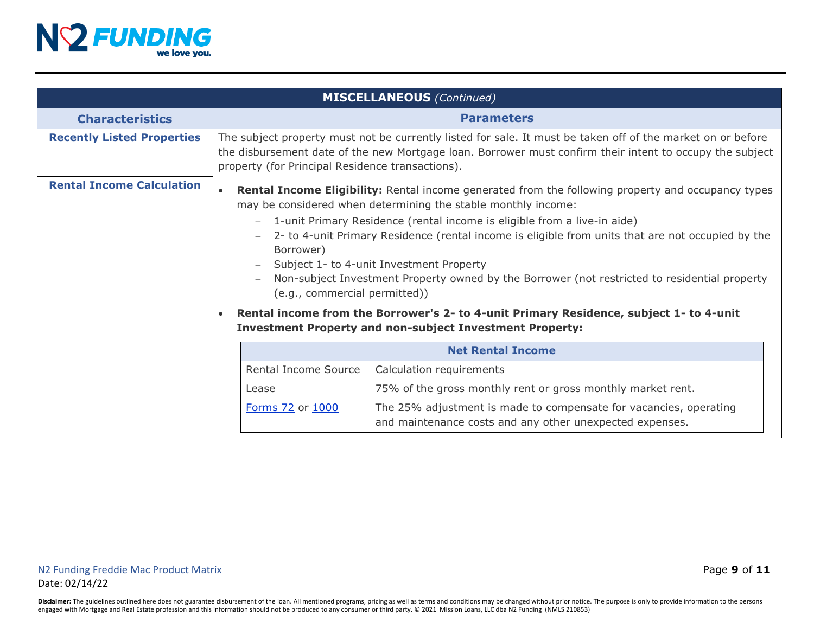

| <b>MISCELLANEOUS</b> (Continued)  |                                                                                                                                                                                                                                                                                                                                                                                                                                                                                                                                                                       |  |  |  |  |
|-----------------------------------|-----------------------------------------------------------------------------------------------------------------------------------------------------------------------------------------------------------------------------------------------------------------------------------------------------------------------------------------------------------------------------------------------------------------------------------------------------------------------------------------------------------------------------------------------------------------------|--|--|--|--|
| <b>Characteristics</b>            | <b>Parameters</b>                                                                                                                                                                                                                                                                                                                                                                                                                                                                                                                                                     |  |  |  |  |
| <b>Recently Listed Properties</b> | The subject property must not be currently listed for sale. It must be taken off of the market on or before<br>the disbursement date of the new Mortgage loan. Borrower must confirm their intent to occupy the subject<br>property (for Principal Residence transactions).                                                                                                                                                                                                                                                                                           |  |  |  |  |
| <b>Rental Income Calculation</b>  | <b>Rental Income Eligibility:</b> Rental income generated from the following property and occupancy types<br>$\bullet$<br>may be considered when determining the stable monthly income:<br>- 1-unit Primary Residence (rental income is eligible from a live-in aide)<br>2- to 4-unit Primary Residence (rental income is eligible from units that are not occupied by the<br>Borrower)<br>Subject 1- to 4-unit Investment Property<br>Non-subject Investment Property owned by the Borrower (not restricted to residential property<br>(e.g., commercial permitted)) |  |  |  |  |
|                                   | Rental income from the Borrower's 2- to 4-unit Primary Residence, subject 1- to 4-unit<br>$\bullet$<br><b>Investment Property and non-subject Investment Property:</b>                                                                                                                                                                                                                                                                                                                                                                                                |  |  |  |  |
|                                   | <b>Net Rental Income</b>                                                                                                                                                                                                                                                                                                                                                                                                                                                                                                                                              |  |  |  |  |
|                                   | Rental Income Source<br>Calculation requirements                                                                                                                                                                                                                                                                                                                                                                                                                                                                                                                      |  |  |  |  |
|                                   | 75% of the gross monthly rent or gross monthly market rent.<br>Lease                                                                                                                                                                                                                                                                                                                                                                                                                                                                                                  |  |  |  |  |
|                                   | Forms 72 or 1000<br>The 25% adjustment is made to compensate for vacancies, operating<br>and maintenance costs and any other unexpected expenses.                                                                                                                                                                                                                                                                                                                                                                                                                     |  |  |  |  |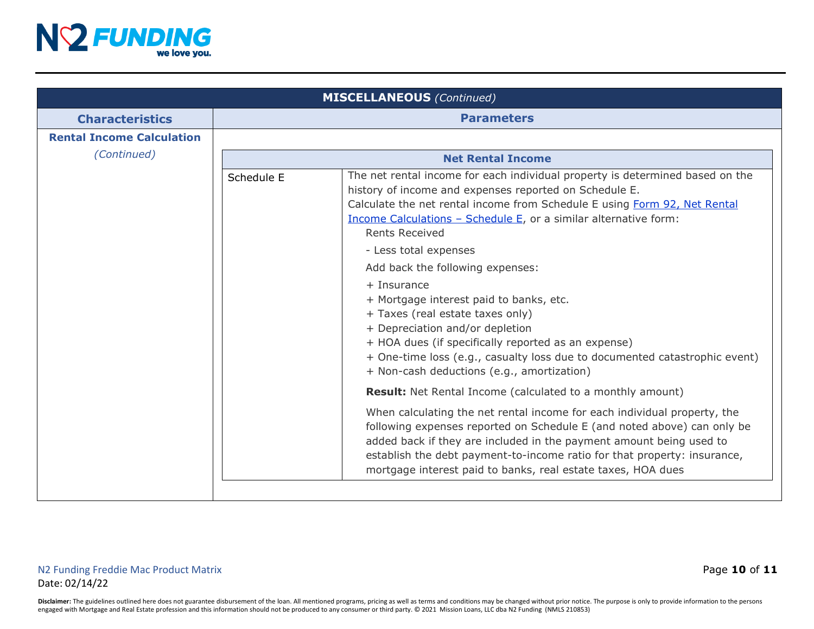

| <b>MISCELLANEOUS</b> (Continued) |                          |                                                                                                                                                                                                                                                                                                                                                                                                                                                                                                                                                                                                                                                                                                      |  |  |
|----------------------------------|--------------------------|------------------------------------------------------------------------------------------------------------------------------------------------------------------------------------------------------------------------------------------------------------------------------------------------------------------------------------------------------------------------------------------------------------------------------------------------------------------------------------------------------------------------------------------------------------------------------------------------------------------------------------------------------------------------------------------------------|--|--|
| <b>Characteristics</b>           | <b>Parameters</b>        |                                                                                                                                                                                                                                                                                                                                                                                                                                                                                                                                                                                                                                                                                                      |  |  |
| <b>Rental Income Calculation</b> |                          |                                                                                                                                                                                                                                                                                                                                                                                                                                                                                                                                                                                                                                                                                                      |  |  |
| (Continued)                      | <b>Net Rental Income</b> |                                                                                                                                                                                                                                                                                                                                                                                                                                                                                                                                                                                                                                                                                                      |  |  |
|                                  | Schedule E               | The net rental income for each individual property is determined based on the<br>history of income and expenses reported on Schedule E.<br>Calculate the net rental income from Schedule E using Form 92, Net Rental<br>Income Calculations - Schedule E, or a similar alternative form:<br><b>Rents Received</b><br>- Less total expenses<br>Add back the following expenses:<br>$+$ Insurance<br>+ Mortgage interest paid to banks, etc.<br>+ Taxes (real estate taxes only)<br>+ Depreciation and/or depletion<br>+ HOA dues (if specifically reported as an expense)<br>+ One-time loss (e.g., casualty loss due to documented catastrophic event)<br>+ Non-cash deductions (e.g., amortization) |  |  |
|                                  |                          | <b>Result:</b> Net Rental Income (calculated to a monthly amount)                                                                                                                                                                                                                                                                                                                                                                                                                                                                                                                                                                                                                                    |  |  |
|                                  |                          | When calculating the net rental income for each individual property, the<br>following expenses reported on Schedule E (and noted above) can only be<br>added back if they are included in the payment amount being used to<br>establish the debt payment-to-income ratio for that property: insurance,<br>mortgage interest paid to banks, real estate taxes, HOA dues                                                                                                                                                                                                                                                                                                                               |  |  |
|                                  |                          |                                                                                                                                                                                                                                                                                                                                                                                                                                                                                                                                                                                                                                                                                                      |  |  |